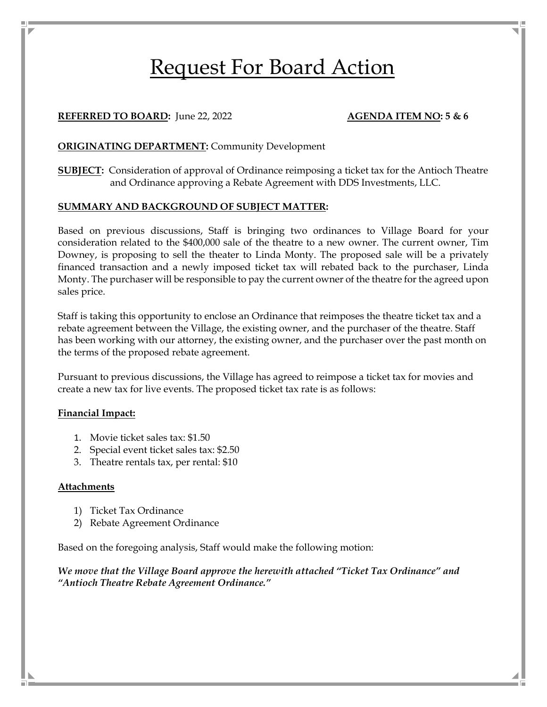# Request For Board Action

#### **REFERRED TO BOARD:** June 22, 2022 **AGENDA ITEM NO: 5 & 6**

#### **ORIGINATING DEPARTMENT:** Community Development

**SUBJECT:** Consideration of approval of Ordinance reimposing a ticket tax for the Antioch Theatre and Ordinance approving a Rebate Agreement with DDS Investments, LLC.

#### **SUMMARY AND BACKGROUND OF SUBJECT MATTER:**

Based on previous discussions, Staff is bringing two ordinances to Village Board for your consideration related to the \$400,000 sale of the theatre to a new owner. The current owner, Tim Downey, is proposing to sell the theater to Linda Monty. The proposed sale will be a privately financed transaction and a newly imposed ticket tax will rebated back to the purchaser, Linda Monty. The purchaser will be responsible to pay the current owner of the theatre for the agreed upon sales price.

Staff is taking this opportunity to enclose an Ordinance that reimposes the theatre ticket tax and a rebate agreement between the Village, the existing owner, and the purchaser of the theatre. Staff has been working with our attorney, the existing owner, and the purchaser over the past month on the terms of the proposed rebate agreement.

Pursuant to previous discussions, the Village has agreed to reimpose a ticket tax for movies and create a new tax for live events. The proposed ticket tax rate is as follows:

#### **Financial Impact:**

- 1. Movie ticket sales tax: \$1.50
- 2. Special event ticket sales tax: \$2.50
- 3. Theatre rentals tax, per rental: \$10

#### **Attachments**

- 1) Ticket Tax Ordinance
- 2) Rebate Agreement Ordinance

Based on the foregoing analysis, Staff would make the following motion:

*We move that the Village Board approve the herewith attached "Ticket Tax Ordinance" and "Antioch Theatre Rebate Agreement Ordinance."*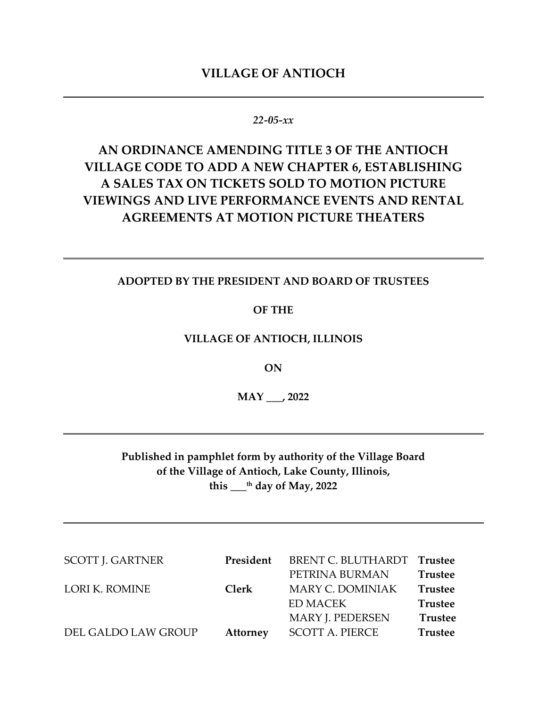# **VILLAGE OF ANTIOCH**

# *22‐05‐xx*

# **AN ORDINANCE AMENDING TITLE 3 OF THE ANTIOCH VILLAGE CODE TO ADD A NEW CHAPTER 6, ESTABLISHING A SALES TAX ON TICKETS SOLD TO MOTION PICTURE VIEWINGS AND LIVE PERFORMANCE EVENTS AND RENTAL AGREEMENTS AT MOTION PICTURE THEATERS**

### **ADOPTED BY THE PRESIDENT AND BOARD OF TRUSTEES**

**OF THE**

# **VILLAGE OF ANTIOCH, ILLINOIS**

**ON**

**MAY \_\_\_, 2022**

**Published in pamphlet form by authority of the Village Board of the Village of Antioch, Lake County, Illinois, this \_\_\_th day of May, 2022**

| <b>SCOTT J. GARTNER</b> | President       | BRENT C. BLUTHARDT Trustee |                |
|-------------------------|-----------------|----------------------------|----------------|
|                         |                 | PETRINA BURMAN             | <b>Trustee</b> |
| LORI K. ROMINE          | <b>Clerk</b>    | <b>MARY C. DOMINIAK</b>    | <b>Trustee</b> |
|                         |                 | <b>ED MACEK</b>            | <b>Trustee</b> |
|                         |                 | MARY J. PEDERSEN           | <b>Trustee</b> |
| DEL GALDO LAW GROUP     | <b>Attorney</b> | <b>SCOTT A. PIERCE</b>     | <b>Trustee</b> |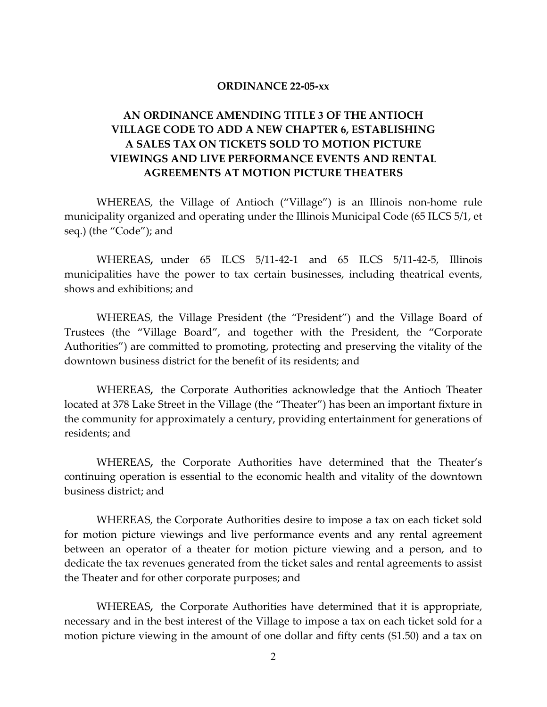#### **ORDINANCE 22‐05‐xx**

# **AN ORDINANCE AMENDING TITLE 3 OF THE ANTIOCH VILLAGE CODE TO ADD A NEW CHAPTER 6, ESTABLISHING A SALES TAX ON TICKETS SOLD TO MOTION PICTURE VIEWINGS AND LIVE PERFORMANCE EVENTS AND RENTAL AGREEMENTS AT MOTION PICTURE THEATERS**

WHEREAS, the Village of Antioch ("Village") is an Illinois non‐home rule municipality organized and operating under the Illinois Municipal Code (65 ILCS 5/1, et seq.) (the "Code"); and

WHEREAS, under 65 ILCS 5/11-42-1 and 65 ILCS 5/11-42-5, Illinois municipalities have the power to tax certain businesses, including theatrical events, shows and exhibitions; and

WHEREAS, the Village President (the "President") and the Village Board of Trustees (the "Village Board", and together with the President, the "Corporate Authorities") are committed to promoting, protecting and preserving the vitality of the downtown business district for the benefit of its residents; and

WHEREAS**,** the Corporate Authorities acknowledge that the Antioch Theater located at 378 Lake Street in the Village (the "Theater") has been an important fixture in the community for approximately a century, providing entertainment for generations of residents; and

WHEREAS**,** the Corporate Authorities have determined that the Theater's continuing operation is essential to the economic health and vitality of the downtown business district; and

WHEREAS, the Corporate Authorities desire to impose a tax on each ticket sold for motion picture viewings and live performance events and any rental agreement between an operator of a theater for motion picture viewing and a person, and to dedicate the tax revenues generated from the ticket sales and rental agreements to assist the Theater and for other corporate purposes; and

WHEREAS**,** the Corporate Authorities have determined that it is appropriate, necessary and in the best interest of the Village to impose a tax on each ticket sold for a motion picture viewing in the amount of one dollar and fifty cents (\$1.50) and a tax on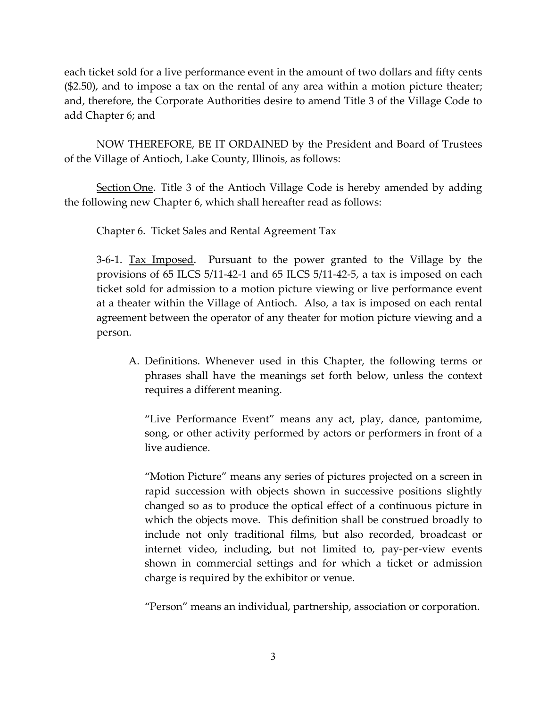each ticket sold for a live performance event in the amount of two dollars and fifty cents (\$2.50), and to impose a tax on the rental of any area within a motion picture theater; and, therefore, the Corporate Authorities desire to amend Title 3 of the Village Code to add Chapter 6; and

NOW THEREFORE, BE IT ORDAINED by the President and Board of Trustees of the Village of Antioch, Lake County, Illinois, as follows:

Section One. Title 3 of the Antioch Village Code is hereby amended by adding the following new Chapter 6, which shall hereafter read as follows:

Chapter 6. Ticket Sales and Rental Agreement Tax

3-6-1. Tax Imposed. Pursuant to the power granted to the Village by the provisions of 65 ILCS 5/11‐42‐1 and 65 ILCS 5/11‐42‐5, a tax is imposed on each ticket sold for admission to a motion picture viewing or live performance event at a theater within the Village of Antioch. Also, a tax is imposed on each rental agreement between the operator of any theater for motion picture viewing and a person.

A. Definitions. Whenever used in this Chapter, the following terms or phrases shall have the meanings set forth below, unless the context requires a different meaning.

"Live Performance Event" means any act, play, dance, pantomime, song, or other activity performed by actors or performers in front of a live audience.

"Motion Picture" means any series of pictures projected on a screen in rapid succession with objects shown in successive positions slightly changed so as to produce the optical effect of a continuous picture in which the objects move. This definition shall be construed broadly to include not only traditional films, but also recorded, broadcast or internet video, including, but not limited to, pay‐per‐view events shown in commercial settings and for which a ticket or admission charge is required by the exhibitor or venue.

"Person" means an individual, partnership, association or corporation.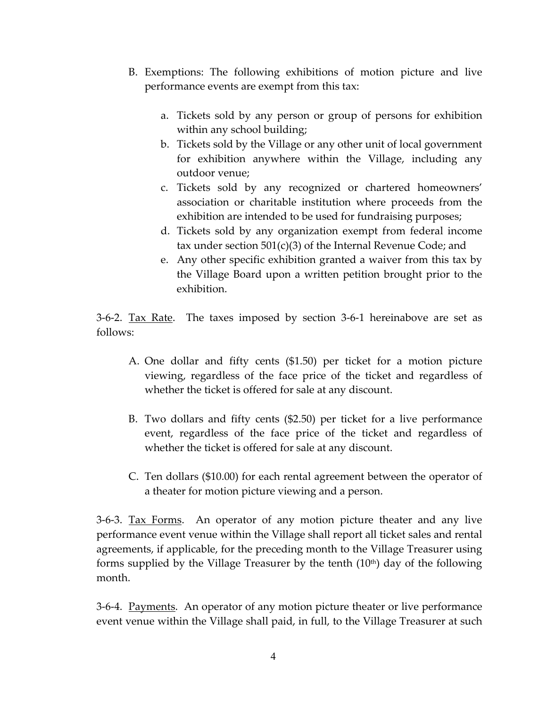- B. Exemptions: The following exhibitions of motion picture and live performance events are exempt from this tax:
	- a. Tickets sold by any person or group of persons for exhibition within any school building;
	- b. Tickets sold by the Village or any other unit of local government for exhibition anywhere within the Village, including any outdoor venue;
	- c. Tickets sold by any recognized or chartered homeowners' association or charitable institution where proceeds from the exhibition are intended to be used for fundraising purposes;
	- d. Tickets sold by any organization exempt from federal income tax under section 501(c)(3) of the Internal Revenue Code; and
	- e. Any other specific exhibition granted a waiver from this tax by the Village Board upon a written petition brought prior to the exhibition.

3-6-2. <u>Tax Rate</u>. The taxes imposed by section 3-6-1 hereinabove are set as follows:

- A. One dollar and fifty cents (\$1.50) per ticket for a motion picture viewing, regardless of the face price of the ticket and regardless of whether the ticket is offered for sale at any discount.
- B. Two dollars and fifty cents (\$2.50) per ticket for a live performance event, regardless of the face price of the ticket and regardless of whether the ticket is offered for sale at any discount.
- C. Ten dollars (\$10.00) for each rental agreement between the operator of a theater for motion picture viewing and a person.

3‐6‐3. Tax Forms. An operator of any motion picture theater and any live performance event venue within the Village shall report all ticket sales and rental agreements, if applicable, for the preceding month to the Village Treasurer using forms supplied by the Village Treasurer by the tenth  $(10<sup>th</sup>)$  day of the following month.

3-6-4. <u>Payments</u>. An operator of any motion picture theater or live performance event venue within the Village shall paid, in full, to the Village Treasurer at such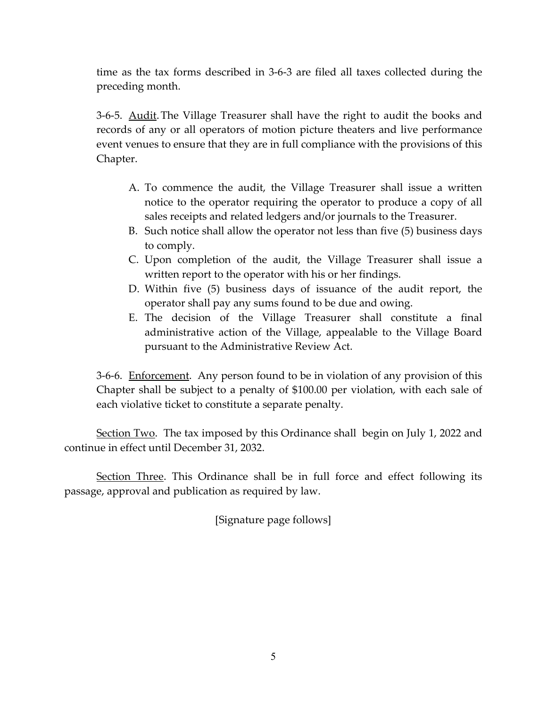time as the tax forms described in 3‐6‐3 are filed all taxes collected during the preceding month.

3-6-5. <u>Audit</u>. The Village Treasurer shall have the right to audit the books and records of any or all operators of motion picture theaters and live performance event venues to ensure that they are in full compliance with the provisions of this Chapter.

- A. To commence the audit, the Village Treasurer shall issue a written notice to the operator requiring the operator to produce a copy of all sales receipts and related ledgers and/or journals to the Treasurer.
- B. Such notice shall allow the operator not less than five (5) business days to comply.
- C. Upon completion of the audit, the Village Treasurer shall issue a written report to the operator with his or her findings.
- D. Within five (5) business days of issuance of the audit report, the operator shall pay any sums found to be due and owing.
- E. The decision of the Village Treasurer shall constitute a final administrative action of the Village, appealable to the Village Board pursuant to the Administrative Review Act.

3-6-6. Enforcement. Any person found to be in violation of any provision of this Chapter shall be subject to a penalty of \$100.00 per violation, with each sale of each violative ticket to constitute a separate penalty.

Section Two. The tax imposed by this Ordinance shall begin on July 1, 2022 and continue in effect until December 31, 2032.

Section Three. This Ordinance shall be in full force and effect following its passage, approval and publication as required by law.

[Signature page follows]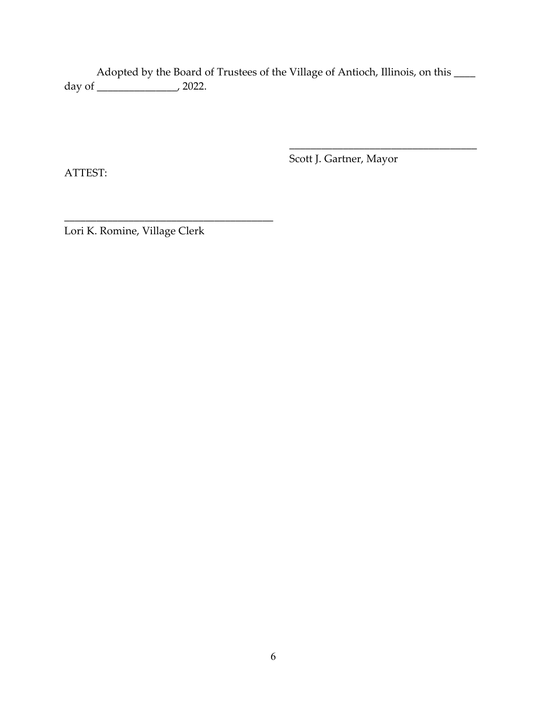Adopted by the Board of Trustees of the Village of Antioch, Illinois, on this  $\_\_$ day of  $\frac{1}{\sqrt{2}}$  2022.

 $\overline{\phantom{a}}$  , and the contract of the contract of the contract of the contract of the contract of the contract of the contract of the contract of the contract of the contract of the contract of the contract of the contrac

ATTEST:

Scott J. Gartner, Mayor

Lori K. Romine, Village Clerk

\_\_\_\_\_\_\_\_\_\_\_\_\_\_\_\_\_\_\_\_\_\_\_\_\_\_\_\_\_\_\_\_\_\_\_\_\_\_\_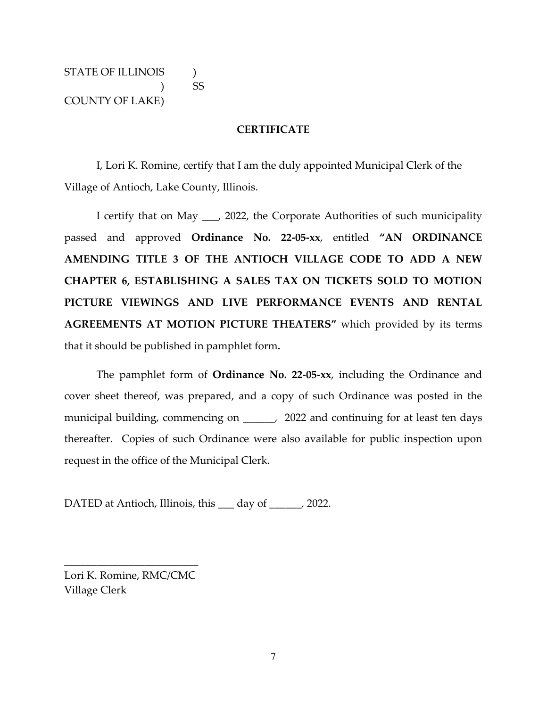STATE OF ILLINOIS  $\qquad$  ) ) SS COUNTY OF LAKE)

#### **CERTIFICATE**

I, Lori K. Romine, certify that I am the duly appointed Municipal Clerk of the Village of Antioch, Lake County, Illinois.

I certify that on May \_\_\_, 2022, the Corporate Authorities of such municipality passed and approved **Ordinance No. 22‐05‐xx**, entitled **"AN ORDINANCE AMENDING TITLE 3 OF THE ANTIOCH VILLAGE CODE TO ADD A NEW CHAPTER 6, ESTABLISHING A SALES TAX ON TICKETS SOLD TO MOTION PICTURE VIEWINGS AND LIVE PERFORMANCE EVENTS AND RENTAL AGREEMENTS AT MOTION PICTURE THEATERS"** which provided by its terms that it should be published in pamphlet form*.*

The pamphlet form of **Ordinance No. 22‐05‐xx**, including the Ordinance and cover sheet thereof, was prepared, and a copy of such Ordinance was posted in the municipal building, commencing on \_\_\_\_\_, 2022 and continuing for at least ten days thereafter. Copies of such Ordinance were also available for public inspection upon request in the office of the Municipal Clerk.

DATED at Antioch, Illinois, this \_\_\_ day of *\_\_\_\_\_\_,* 2022.

Lori K. Romine, RMC/CMC Village Clerk

\_\_\_\_\_\_\_\_\_\_\_\_\_\_\_\_\_\_\_\_\_\_\_\_\_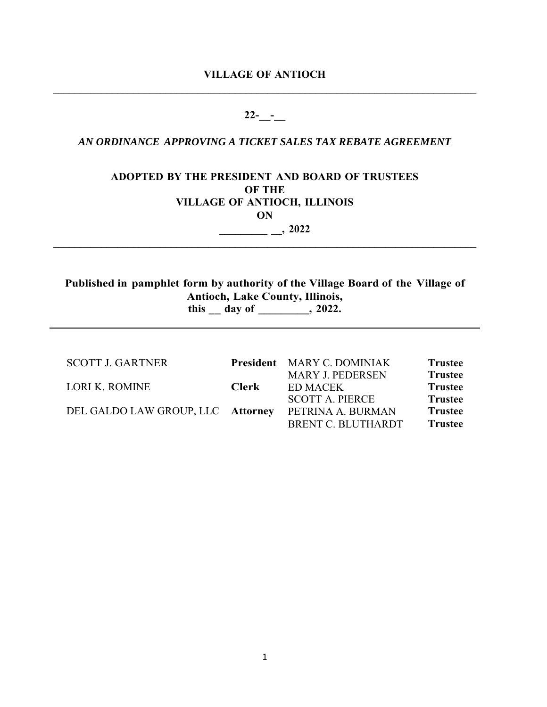# **VILLAGE OF ANTIOCH \_\_\_\_\_\_\_\_\_\_\_\_\_\_\_\_\_\_\_\_\_\_\_\_\_\_\_\_\_\_\_\_\_\_\_\_\_\_\_\_\_\_\_\_\_\_\_\_\_\_\_\_\_\_\_\_\_\_\_\_\_\_\_\_\_\_\_\_\_\_\_\_\_\_\_\_\_\_\_**

# **22-\_\_-\_\_**

# *AN ORDINANCE APPROVING A TICKET SALES TAX REBATE AGREEMENT*

# **ADOPTED BY THE PRESIDENT AND BOARD OF TRUSTEES OF THE VILLAGE OF ANTIOCH, ILLINOIS ON**

 $\mathcal{L} = \{ \mathcal{L} \mathcal{L} \mathcal{L} \mathcal{L} \mathcal{L} \mathcal{L} \mathcal{L} \mathcal{L} \mathcal{L} \mathcal{L} \mathcal{L} \mathcal{L} \mathcal{L} \mathcal{L} \mathcal{L} \mathcal{L} \mathcal{L} \mathcal{L} \mathcal{L} \mathcal{L} \mathcal{L} \mathcal{L} \mathcal{L} \mathcal{L} \mathcal{L} \mathcal{L} \mathcal{L} \mathcal{L} \mathcal{L} \mathcal{L} \mathcal{L} \mathcal{L} \mathcal{L} \mathcal{L} \mathcal{L} \$ 

**\_\_\_\_\_\_\_\_\_ \_\_, 2022** 

# **Published in pamphlet form by authority of the Village Board of the Village of Antioch, Lake County, Illinois, this** day of , 2022.

| <b>SCOTT J. GARTNER</b>           |       | <b>President</b> MARY C. DOMINIAK | <b>Trustee</b> |
|-----------------------------------|-------|-----------------------------------|----------------|
|                                   |       | <b>MARY J. PEDERSEN</b>           | <b>Trustee</b> |
| LORI K. ROMINE                    | Clerk | ED MACEK                          | <b>Trustee</b> |
|                                   |       | <b>SCOTT A. PIERCE</b>            | <b>Trustee</b> |
| DEL GALDO LAW GROUP, LLC Attorney |       | PETRINA A. BURMAN                 | <b>Trustee</b> |
|                                   |       | BRENT C. BLUTHARDT                | <b>Trustee</b> |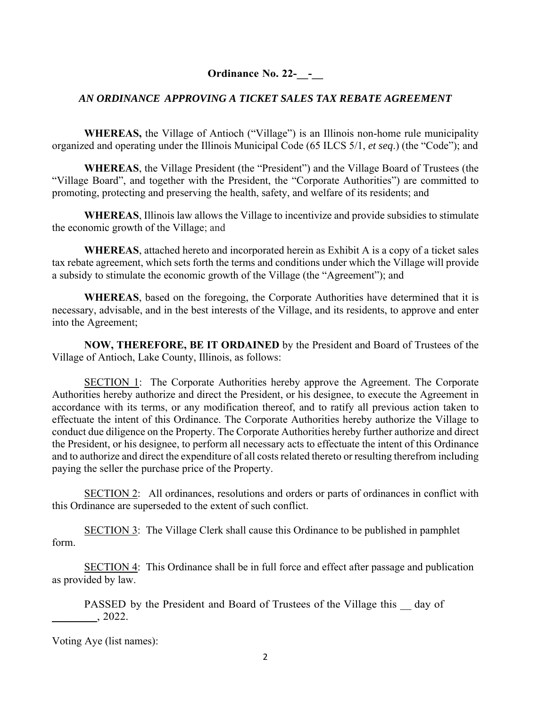**Ordinance No. 22-** -

# *AN ORDINANCE APPROVING A TICKET SALES TAX REBATE AGREEMENT*

**WHEREAS,** the Village of Antioch ("Village") is an Illinois non-home rule municipality organized and operating under the Illinois Municipal Code (65 ILCS 5/1, *et seq*.) (the "Code"); and

**WHEREAS**, the Village President (the "President") and the Village Board of Trustees (the "Village Board", and together with the President, the "Corporate Authorities") are committed to promoting, protecting and preserving the health, safety, and welfare of its residents; and

**WHEREAS**, Illinois law allows the Village to incentivize and provide subsidies to stimulate the economic growth of the Village; and

**WHEREAS**, attached hereto and incorporated herein as Exhibit A is a copy of a ticket sales tax rebate agreement, which sets forth the terms and conditions under which the Village will provide a subsidy to stimulate the economic growth of the Village (the "Agreement"); and

**WHEREAS**, based on the foregoing, the Corporate Authorities have determined that it is necessary, advisable, and in the best interests of the Village, and its residents, to approve and enter into the Agreement;

**NOW, THEREFORE, BE IT ORDAINED** by the President and Board of Trustees of the Village of Antioch, Lake County, Illinois, as follows:

SECTION 1: The Corporate Authorities hereby approve the Agreement. The Corporate Authorities hereby authorize and direct the President, or his designee, to execute the Agreement in accordance with its terms, or any modification thereof, and to ratify all previous action taken to effectuate the intent of this Ordinance. The Corporate Authorities hereby authorize the Village to conduct due diligence on the Property. The Corporate Authorities hereby further authorize and direct the President, or his designee, to perform all necessary acts to effectuate the intent of this Ordinance and to authorize and direct the expenditure of all costs related thereto or resulting therefrom including paying the seller the purchase price of the Property.

SECTION 2: All ordinances, resolutions and orders or parts of ordinances in conflict with this Ordinance are superseded to the extent of such conflict.

SECTION 3: The Village Clerk shall cause this Ordinance to be published in pamphlet form.

SECTION 4: This Ordinance shall be in full force and effect after passage and publication as provided by law.

PASSED by the President and Board of Trustees of the Village this day of \_\_\_\_\_\_\_\_, 2022.

Voting Aye (list names):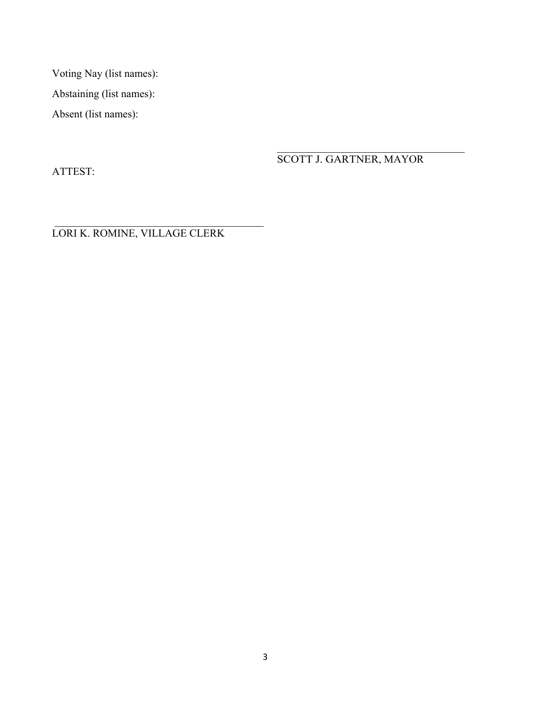Voting Nay (list names): Abstaining (list names): Absent (list names):

ATTEST:

SCOTT J. GARTNER, MAYOR

LORI K. ROMINE, VILLAGE CLERK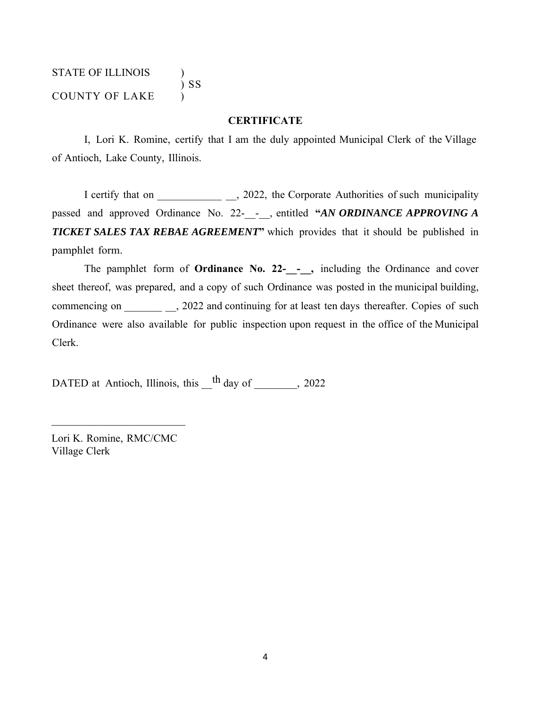# STATE OF ILLINOIS )  $\left(\begin{array}{c} 0 \\ 0 \end{array}\right)$  SS COUNTY OF LAKE )

#### **CERTIFICATE**

I, Lori K. Romine, certify that I am the duly appointed Municipal Clerk of the Village of Antioch, Lake County, Illinois.

I certify that on \_\_\_\_\_\_\_\_\_\_\_\_\_\_, 2022, the Corporate Authorities of such municipality passed and approved Ordinance No. 22-\_\_-\_\_, entitled **"***AN ORDINANCE APPROVING A*  **TICKET SALES TAX REBAE AGREEMENT** which provides that it should be published in pamphlet form.

The pamphlet form of **Ordinance No. 22-**<sub>\_\_-</sub>, including the Ordinance and cover sheet thereof, was prepared, and a copy of such Ordinance was posted in the municipal building, commencing on \_\_\_\_\_\_\_\_\_\_\_\_, 2022 and continuing for at least ten days thereafter. Copies of such Ordinance were also available for public inspection upon request in the office of the Municipal Clerk.

DATED at Antioch, Illinois, this  $\frac{h}{h}$  day of \_\_\_\_\_\_\_, 2022

Lori K. Romine, RMC/CMC Village Clerk